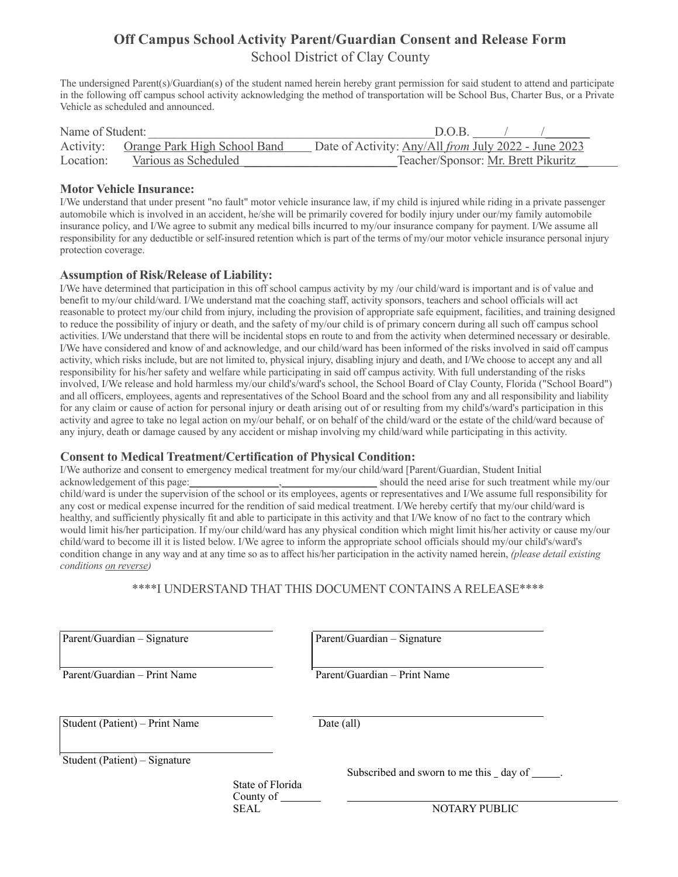# **Off Campus School Activity Parent/Guardian Consent and Release Form** School District of Clay County

The undersigned Parent(s)/Guardian(s) of the student named herein hereby grant permission for said student to attend and participate in the following off campus school activity acknowledging the method of transportation will be School Bus, Charter Bus, or a Private Vehicle as scheduled and announced.

| Name of Student: |                                        | D.O.B                                                       |
|------------------|----------------------------------------|-------------------------------------------------------------|
|                  | Activity: Orange Park High School Band | Date of Activity: Any/All <i>from July 2022 - June 2023</i> |
| Location:        | Various as Scheduled                   | Teacher/Sponsor: Mr. Brett Pikuritz                         |

#### **Motor Vehicle Insurance:**

I/We understand that under present "no fault" motor vehicle insurance law, if my child is injured while riding in a private passenger automobile which is involved in an accident, he/she will be primarily covered for bodily injury under our/my family automobile insurance policy, and I/We agree to submit any medical bills incurred to my/our insurance company for payment. I/We assume all responsibility for any deductible or self-insured retention which is part of the terms of my/our motor vehicle insurance personal injury protection coverage.

## **Assumption of Risk/Release of Liability:**

I/We have determined that participation in this off school campus activity by my /our child/ward is important and is of value and benefit to my/our child/ward. I/We understand mat the coaching staff, activity sponsors, teachers and school officials will act reasonable to protect my/our child from injury, including the provision of appropriate safe equipment, facilities, and training designed to reduce the possibility of injury or death, and the safety of my/our child is of primary concern during all such off campus school activities. I/We understand that there will be incidental stops en route to and from the activity when determined necessary or desirable. I/We have considered and know of and acknowledge, and our child/ward has been informed of the risks involved in said off campus activity, which risks include, but are not limited to, physical injury, disabling injury and death, and I/We choose to accept any and all responsibility for his/her safety and welfare while participating in said off campus activity. With full understanding of the risks involved, I/We release and hold harmless my/our child's/ward's school, the School Board of Clay County, Florida ("School Board") and all officers, employees, agents and representatives of the School Board and the school from any and all responsibility and liability for any claim or cause of action for personal injury or death arising out of or resulting from my child's/ward's participation in this activity and agree to take no legal action on my/our behalf, or on behalf of the child/ward or the estate of the child/ward because of any injury, death or damage caused by any accident or mishap involving my child/ward while participating in this activity.

## **Consent to Medical Treatment/Certification of Physical Condition:**

I/We authorize and consent to emergency medical treatment for my/our child/ward [Parent/Guardian, Student Initial acknowledgement of this page: \_\_\_\_\_\_\_\_\_\_\_\_\_\_\_, should the need arise for such treatment while my/our child/ward is under the supervision of the school or its employees, agents or representatives and I/We assume full responsibility for any cost or medical expense incurred for the rendition of said medical treatment. I/We hereby certify that my/our child/ward is healthy, and sufficiently physically fit and able to participate in this activity and that I/We know of no fact to the contrary which would limit his/her participation. If my/our child/ward has any physical condition which might limit his/her activity or cause my/our child/ward to become ill it is listed below. I/We agree to inform the appropriate school officials should my/our child's/ward's condition change in any way and at any time so as to affect his/her participation in the activity named herein, *(please detail existing conditions on reverse)*

\*\*\*\*I UNDERSTAND THAT THIS DOCUMENT CONTAINS A RELEASE\*\*\*\*

Parent/Guardian – Signature Parent/Guardian – Signature

Parent/Guardian – Print Name Parent/Guardian – Print Name

Student (Patient) – Print Name Date (all)

Student (Patient) – Signature

 State of Florida County of \_

l

l

 $\overline{a}$ 

 $\overline{a}$ 

Subscribed and sworn to me this \_ day of \_\_

SEAL NOTARY PUBLIC